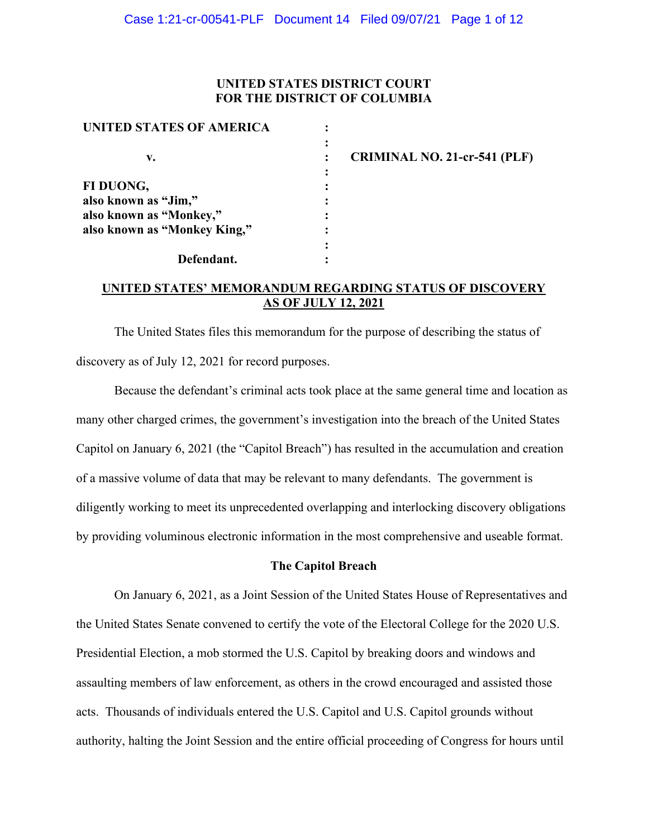### **UNITED STATES DISTRICT COURT FOR THE DISTRICT OF COLUMBIA**

| $\ddot{\cdot}$<br><b>CRIMINAL NO. 21-cr-541 (PLF)</b><br>٠ |
|------------------------------------------------------------|
| $\bullet$<br>$\bullet$                                     |
| ٠<br>$\bullet$                                             |
|                                                            |
| ٠                                                          |
| ٠                                                          |
|                                                            |
|                                                            |

**UNITED STATES' MEMORANDUM REGARDING STATUS OF DISCOVERY AS OF JULY 12, 2021**

The United States files this memorandum for the purpose of describing the status of discovery as of July 12, 2021 for record purposes.

Because the defendant's criminal acts took place at the same general time and location as many other charged crimes, the government's investigation into the breach of the United States Capitol on January 6, 2021 (the "Capitol Breach") has resulted in the accumulation and creation of a massive volume of data that may be relevant to many defendants. The government is diligently working to meet its unprecedented overlapping and interlocking discovery obligations by providing voluminous electronic information in the most comprehensive and useable format.

#### **The Capitol Breach**

On January 6, 2021, as a Joint Session of the United States House of Representatives and the United States Senate convened to certify the vote of the Electoral College for the 2020 U.S. Presidential Election, a mob stormed the U.S. Capitol by breaking doors and windows and assaulting members of law enforcement, as others in the crowd encouraged and assisted those acts. Thousands of individuals entered the U.S. Capitol and U.S. Capitol grounds without authority, halting the Joint Session and the entire official proceeding of Congress for hours until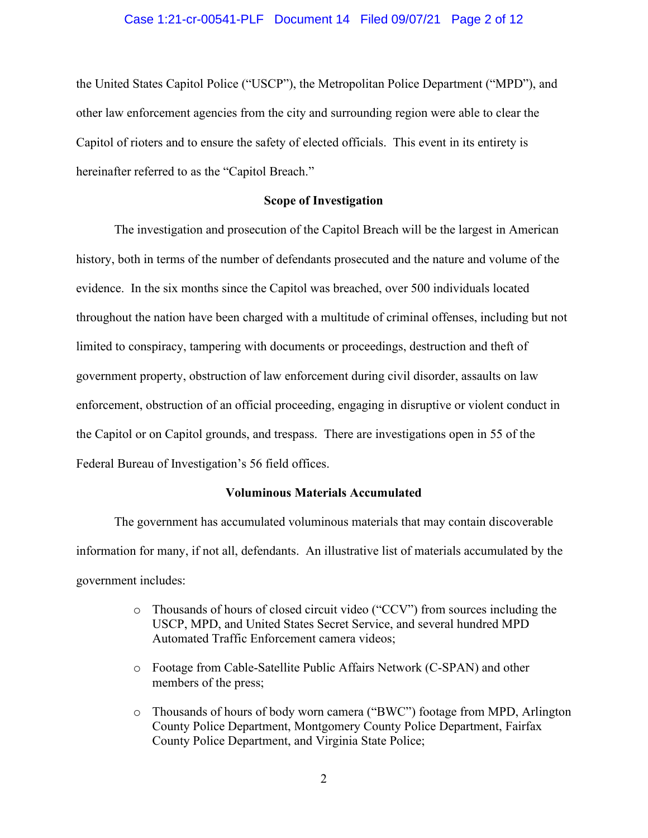#### Case 1:21-cr-00541-PLF Document 14 Filed 09/07/21 Page 2 of 12

the United States Capitol Police ("USCP"), the Metropolitan Police Department ("MPD"), and other law enforcement agencies from the city and surrounding region were able to clear the Capitol of rioters and to ensure the safety of elected officials. This event in its entirety is hereinafter referred to as the "Capitol Breach."

#### **Scope of Investigation**

The investigation and prosecution of the Capitol Breach will be the largest in American history, both in terms of the number of defendants prosecuted and the nature and volume of the evidence. In the six months since the Capitol was breached, over 500 individuals located throughout the nation have been charged with a multitude of criminal offenses, including but not limited to conspiracy, tampering with documents or proceedings, destruction and theft of government property, obstruction of law enforcement during civil disorder, assaults on law enforcement, obstruction of an official proceeding, engaging in disruptive or violent conduct in the Capitol or on Capitol grounds, and trespass. There are investigations open in 55 of the Federal Bureau of Investigation's 56 field offices.

#### **Voluminous Materials Accumulated**

The government has accumulated voluminous materials that may contain discoverable information for many, if not all, defendants. An illustrative list of materials accumulated by the government includes:

- o Thousands of hours of closed circuit video ("CCV") from sources including the USCP, MPD, and United States Secret Service, and several hundred MPD Automated Traffic Enforcement camera videos;
- o Footage from Cable-Satellite Public Affairs Network (C-SPAN) and other members of the press;
- o Thousands of hours of body worn camera ("BWC") footage from MPD, Arlington County Police Department, Montgomery County Police Department, Fairfax County Police Department, and Virginia State Police;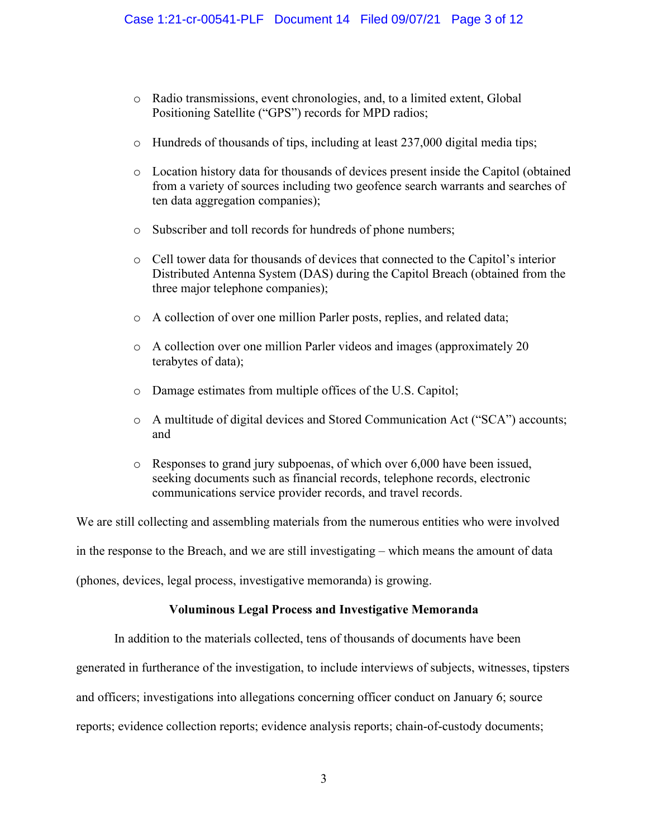- o Radio transmissions, event chronologies, and, to a limited extent, Global Positioning Satellite ("GPS") records for MPD radios;
- $\circ$  Hundreds of thousands of tips, including at least 237,000 digital media tips;
- o Location history data for thousands of devices present inside the Capitol (obtained from a variety of sources including two geofence search warrants and searches of ten data aggregation companies);
- o Subscriber and toll records for hundreds of phone numbers;
- o Cell tower data for thousands of devices that connected to the Capitol's interior Distributed Antenna System (DAS) during the Capitol Breach (obtained from the three major telephone companies);
- o A collection of over one million Parler posts, replies, and related data;
- o A collection over one million Parler videos and images (approximately 20 terabytes of data);
- o Damage estimates from multiple offices of the U.S. Capitol;
- o A multitude of digital devices and Stored Communication Act ("SCA") accounts; and
- o Responses to grand jury subpoenas, of which over 6,000 have been issued, seeking documents such as financial records, telephone records, electronic communications service provider records, and travel records.

We are still collecting and assembling materials from the numerous entities who were involved

in the response to the Breach, and we are still investigating – which means the amount of data

(phones, devices, legal process, investigative memoranda) is growing.

### **Voluminous Legal Process and Investigative Memoranda**

In addition to the materials collected, tens of thousands of documents have been

generated in furtherance of the investigation, to include interviews of subjects, witnesses, tipsters

and officers; investigations into allegations concerning officer conduct on January 6; source

reports; evidence collection reports; evidence analysis reports; chain-of-custody documents;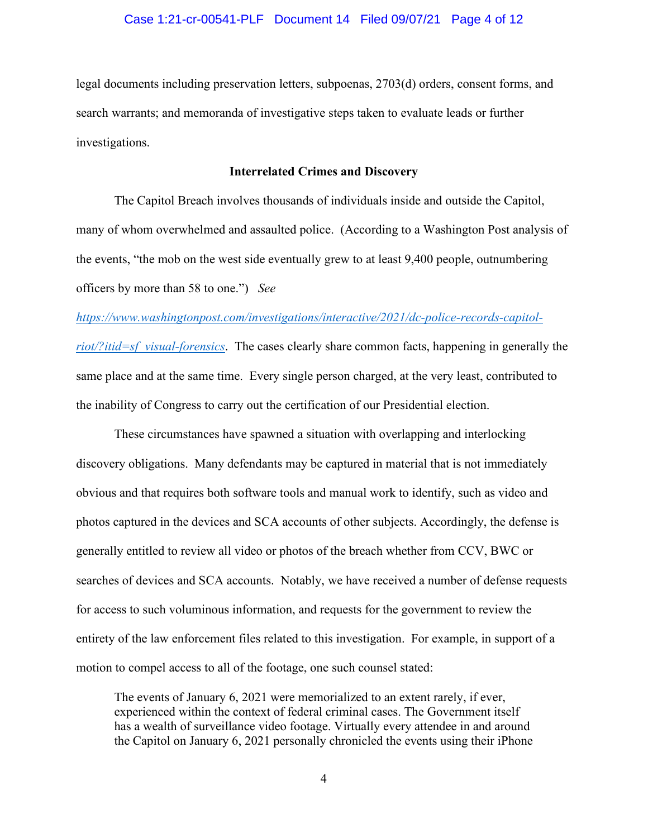#### Case 1:21-cr-00541-PLF Document 14 Filed 09/07/21 Page 4 of 12

legal documents including preservation letters, subpoenas, 2703(d) orders, consent forms, and search warrants; and memoranda of investigative steps taken to evaluate leads or further investigations.

#### **Interrelated Crimes and Discovery**

The Capitol Breach involves thousands of individuals inside and outside the Capitol, many of whom overwhelmed and assaulted police. (According to a Washington Post analysis of the events, "the mob on the west side eventually grew to at least 9,400 people, outnumbering officers by more than 58 to one.") *See* 

#### *https://www.washingtonpost.com/investigations/interactive/2021/dc-police-records-capitol-*

*riot/?itid=sf\_visual-forensics*. The cases clearly share common facts, happening in generally the same place and at the same time. Every single person charged, at the very least, contributed to the inability of Congress to carry out the certification of our Presidential election.

These circumstances have spawned a situation with overlapping and interlocking discovery obligations. Many defendants may be captured in material that is not immediately obvious and that requires both software tools and manual work to identify, such as video and photos captured in the devices and SCA accounts of other subjects. Accordingly, the defense is generally entitled to review all video or photos of the breach whether from CCV, BWC or searches of devices and SCA accounts. Notably, we have received a number of defense requests for access to such voluminous information, and requests for the government to review the entirety of the law enforcement files related to this investigation. For example, in support of a motion to compel access to all of the footage, one such counsel stated:

The events of January 6, 2021 were memorialized to an extent rarely, if ever, experienced within the context of federal criminal cases. The Government itself has a wealth of surveillance video footage. Virtually every attendee in and around the Capitol on January 6, 2021 personally chronicled the events using their iPhone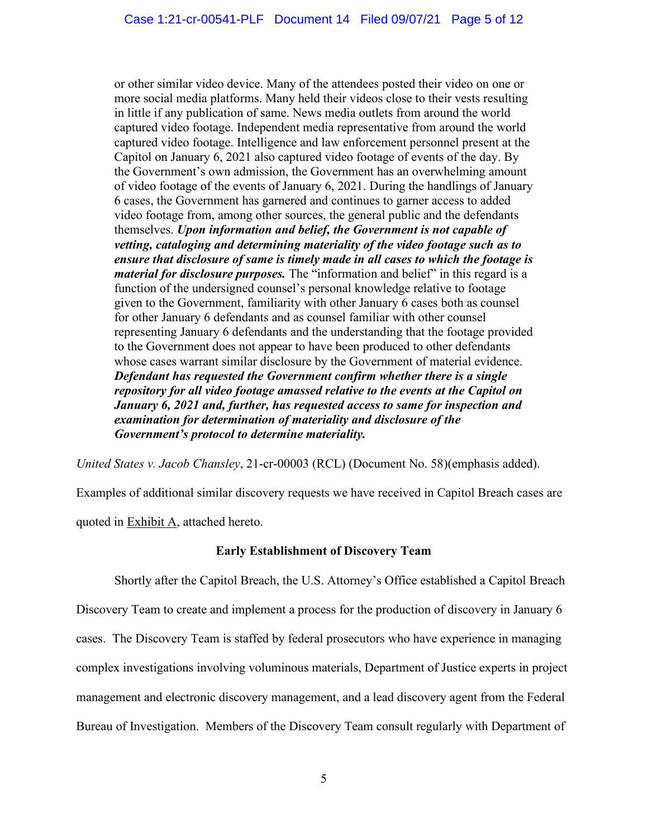or other similar video device. Many of the attendees posted their video on one or more social media platforms. Many held their videos close to their vests resulting in little if any publication of same. News media outlets from around the world captured video footage. Independent media representative from around the world captured video footage. Intelligence and law enforcement personnel present at the Capitol on January 6, 2021 also captured video footage of events of the day. By the Government's own admission, the Government has an overwhelming amount of video footage of the events of January 6, 2021. During the handlings of January 6 cases, the Government has garnered and continues to garner access to added video footage from, among other sources, the general public and the defendants themselves. *Upon information and belief, the Government is not capable of vetting, cataloging and determining materiality of the video footage such as to ensure that disclosure of same is timely made in all cases to which the footage is material for disclosure purposes.* The "information and belief" in this regard is a function of the undersigned counsel's personal knowledge relative to footage given to the Government, familiarity with other January 6 cases both as counsel for other January 6 defendants and as counsel familiar with other counsel representing January 6 defendants and the understanding that the footage provided to the Government does not appear to have been produced to other defendants whose cases warrant similar disclosure by the Government of material evidence. *Defendant has requested the Government confirm whether there is a single repository for all video footage amassed relative to the events at the Capitol on January 6, 2021 and, further, has requested access to same for inspection and examination for determination of materiality and disclosure of the Government's protocol to determine materiality.*

*United States v. Jacob Chansley*, 21-cr-00003 (RCL) (Document No. 58)(emphasis added).

Examples of additional similar discovery requests we have received in Capitol Breach cases are quoted in Exhibit A, attached hereto.

### **Early Establishment of Discovery Team**

Shortly after the Capitol Breach, the U.S. Attorney's Office established a Capitol Breach Discovery Team to create and implement a process for the production of discovery in January 6 cases. The Discovery Team is staffed by federal prosecutors who have experience in managing complex investigations involving voluminous materials, Department of Justice experts in project management and electronic discovery management, and a lead discovery agent from the Federal Bureau of Investigation. Members of the Discovery Team consult regularly with Department of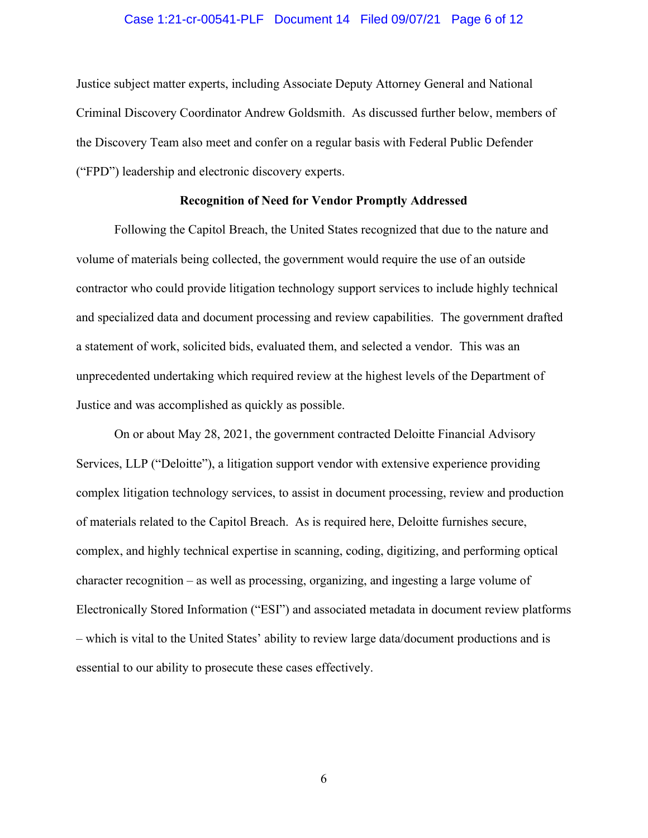#### Case 1:21-cr-00541-PLF Document 14 Filed 09/07/21 Page 6 of 12

Justice subject matter experts, including Associate Deputy Attorney General and National Criminal Discovery Coordinator Andrew Goldsmith. As discussed further below, members of the Discovery Team also meet and confer on a regular basis with Federal Public Defender ("FPD") leadership and electronic discovery experts.

#### **Recognition of Need for Vendor Promptly Addressed**

Following the Capitol Breach, the United States recognized that due to the nature and volume of materials being collected, the government would require the use of an outside contractor who could provide litigation technology support services to include highly technical and specialized data and document processing and review capabilities. The government drafted a statement of work, solicited bids, evaluated them, and selected a vendor. This was an unprecedented undertaking which required review at the highest levels of the Department of Justice and was accomplished as quickly as possible.

On or about May 28, 2021, the government contracted Deloitte Financial Advisory Services, LLP ("Deloitte"), a litigation support vendor with extensive experience providing complex litigation technology services, to assist in document processing, review and production of materials related to the Capitol Breach. As is required here, Deloitte furnishes secure, complex, and highly technical expertise in scanning, coding, digitizing, and performing optical character recognition – as well as processing, organizing, and ingesting a large volume of Electronically Stored Information ("ESI") and associated metadata in document review platforms – which is vital to the United States' ability to review large data/document productions and is essential to our ability to prosecute these cases effectively.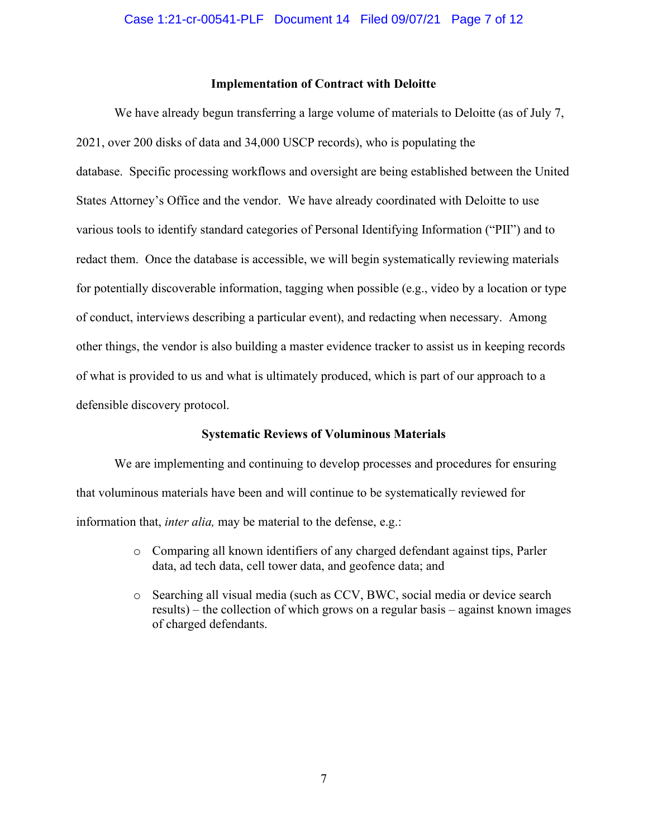#### **Implementation of Contract with Deloitte**

We have already begun transferring a large volume of materials to Deloitte (as of July 7, 2021, over 200 disks of data and 34,000 USCP records), who is populating the database. Specific processing workflows and oversight are being established between the United States Attorney's Office and the vendor. We have already coordinated with Deloitte to use various tools to identify standard categories of Personal Identifying Information ("PII") and to redact them. Once the database is accessible, we will begin systematically reviewing materials for potentially discoverable information, tagging when possible (e.g., video by a location or type of conduct, interviews describing a particular event), and redacting when necessary. Among other things, the vendor is also building a master evidence tracker to assist us in keeping records of what is provided to us and what is ultimately produced, which is part of our approach to a defensible discovery protocol.

#### **Systematic Reviews of Voluminous Materials**

We are implementing and continuing to develop processes and procedures for ensuring that voluminous materials have been and will continue to be systematically reviewed for information that, *inter alia,* may be material to the defense, e.g.:

- o Comparing all known identifiers of any charged defendant against tips, Parler data, ad tech data, cell tower data, and geofence data; and
- o Searching all visual media (such as CCV, BWC, social media or device search results) – the collection of which grows on a regular basis – against known images of charged defendants.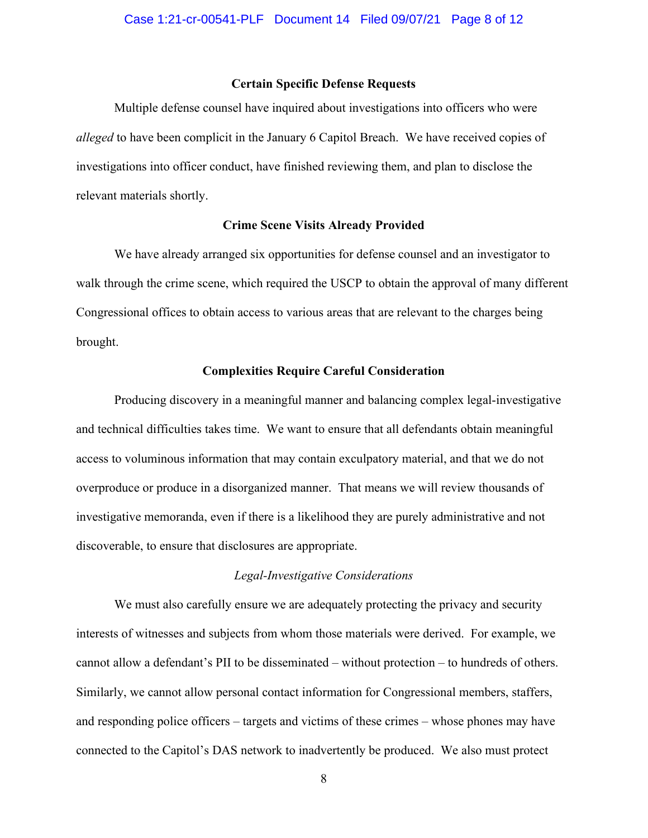#### **Certain Specific Defense Requests**

Multiple defense counsel have inquired about investigations into officers who were *alleged* to have been complicit in the January 6 Capitol Breach. We have received copies of investigations into officer conduct, have finished reviewing them, and plan to disclose the relevant materials shortly.

#### **Crime Scene Visits Already Provided**

We have already arranged six opportunities for defense counsel and an investigator to walk through the crime scene, which required the USCP to obtain the approval of many different Congressional offices to obtain access to various areas that are relevant to the charges being brought.

#### **Complexities Require Careful Consideration**

Producing discovery in a meaningful manner and balancing complex legal-investigative and technical difficulties takes time. We want to ensure that all defendants obtain meaningful access to voluminous information that may contain exculpatory material, and that we do not overproduce or produce in a disorganized manner. That means we will review thousands of investigative memoranda, even if there is a likelihood they are purely administrative and not discoverable, to ensure that disclosures are appropriate.

#### *Legal-Investigative Considerations*

We must also carefully ensure we are adequately protecting the privacy and security interests of witnesses and subjects from whom those materials were derived. For example, we cannot allow a defendant's PII to be disseminated – without protection – to hundreds of others. Similarly, we cannot allow personal contact information for Congressional members, staffers, and responding police officers – targets and victims of these crimes – whose phones may have connected to the Capitol's DAS network to inadvertently be produced. We also must protect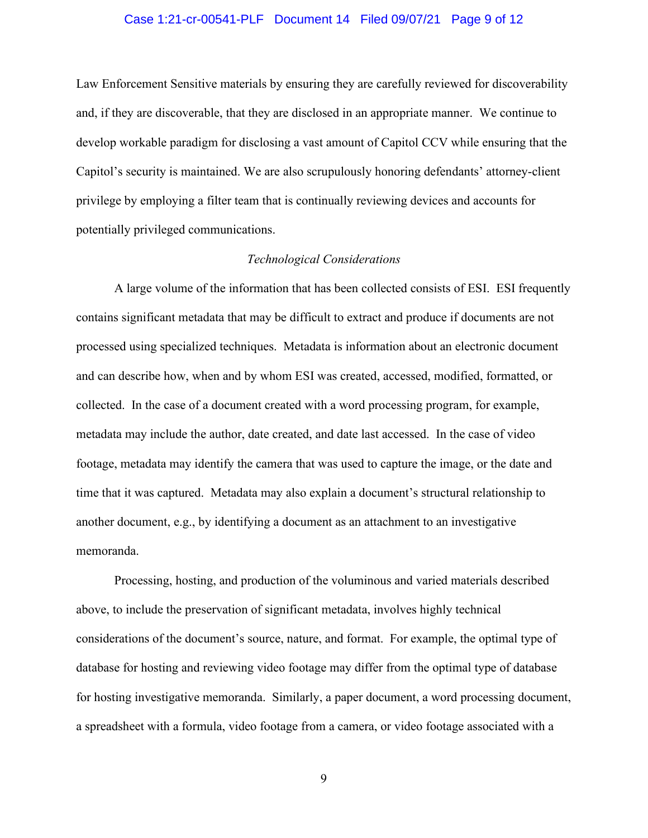#### Case 1:21-cr-00541-PLF Document 14 Filed 09/07/21 Page 9 of 12

Law Enforcement Sensitive materials by ensuring they are carefully reviewed for discoverability and, if they are discoverable, that they are disclosed in an appropriate manner. We continue to develop workable paradigm for disclosing a vast amount of Capitol CCV while ensuring that the Capitol's security is maintained. We are also scrupulously honoring defendants' attorney-client privilege by employing a filter team that is continually reviewing devices and accounts for potentially privileged communications.

#### *Technological Considerations*

A large volume of the information that has been collected consists of ESI. ESI frequently contains significant metadata that may be difficult to extract and produce if documents are not processed using specialized techniques. Metadata is information about an electronic document and can describe how, when and by whom ESI was created, accessed, modified, formatted, or collected. In the case of a document created with a word processing program, for example, metadata may include the author, date created, and date last accessed. In the case of video footage, metadata may identify the camera that was used to capture the image, or the date and time that it was captured. Metadata may also explain a document's structural relationship to another document, e.g., by identifying a document as an attachment to an investigative memoranda.

Processing, hosting, and production of the voluminous and varied materials described above, to include the preservation of significant metadata, involves highly technical considerations of the document's source, nature, and format. For example, the optimal type of database for hosting and reviewing video footage may differ from the optimal type of database for hosting investigative memoranda. Similarly, a paper document, a word processing document, a spreadsheet with a formula, video footage from a camera, or video footage associated with a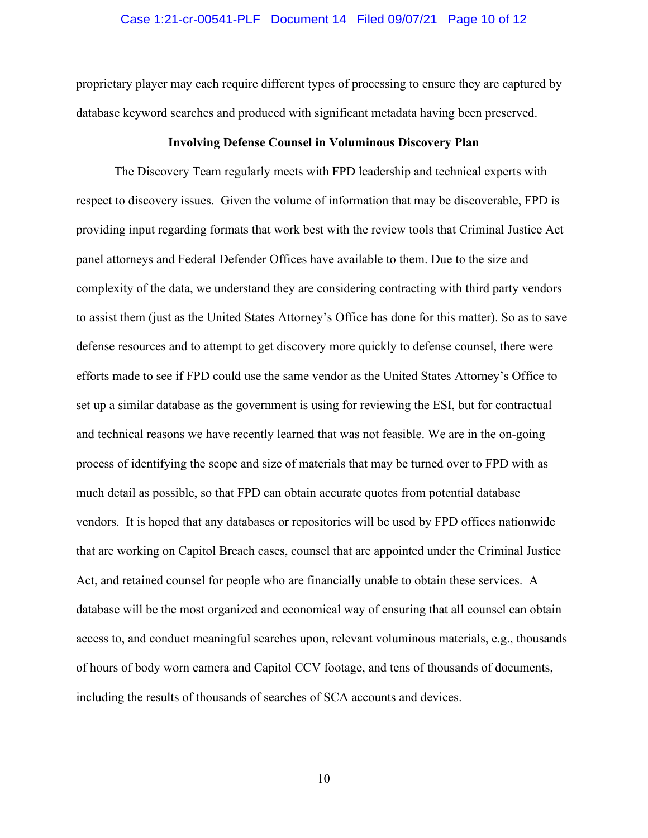#### Case 1:21-cr-00541-PLF Document 14 Filed 09/07/21 Page 10 of 12

proprietary player may each require different types of processing to ensure they are captured by database keyword searches and produced with significant metadata having been preserved.

#### **Involving Defense Counsel in Voluminous Discovery Plan**

The Discovery Team regularly meets with FPD leadership and technical experts with respect to discovery issues. Given the volume of information that may be discoverable, FPD is providing input regarding formats that work best with the review tools that Criminal Justice Act panel attorneys and Federal Defender Offices have available to them. Due to the size and complexity of the data, we understand they are considering contracting with third party vendors to assist them (just as the United States Attorney's Office has done for this matter). So as to save defense resources and to attempt to get discovery more quickly to defense counsel, there were efforts made to see if FPD could use the same vendor as the United States Attorney's Office to set up a similar database as the government is using for reviewing the ESI, but for contractual and technical reasons we have recently learned that was not feasible. We are in the on-going process of identifying the scope and size of materials that may be turned over to FPD with as much detail as possible, so that FPD can obtain accurate quotes from potential database vendors. It is hoped that any databases or repositories will be used by FPD offices nationwide that are working on Capitol Breach cases, counsel that are appointed under the Criminal Justice Act, and retained counsel for people who are financially unable to obtain these services. A database will be the most organized and economical way of ensuring that all counsel can obtain access to, and conduct meaningful searches upon, relevant voluminous materials, e.g., thousands of hours of body worn camera and Capitol CCV footage, and tens of thousands of documents, including the results of thousands of searches of SCA accounts and devices.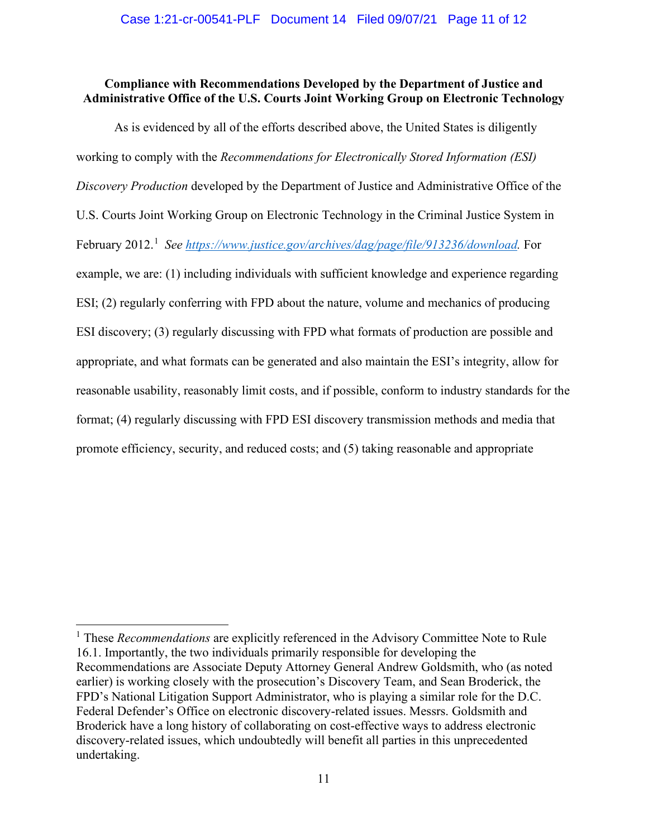## **Compliance with Recommendations Developed by the Department of Justice and Administrative Office of the U.S. Courts Joint Working Group on Electronic Technology**

As is evidenced by all of the efforts described above, the United States is diligently working to comply with the *Recommendations for Electronically Stored Information (ESI) Discovery Production* developed by the Department of Justice and Administrative Office of the U.S. Courts Joint Working Group on Electronic Technology in the Criminal Justice System in February 2012.<sup>1</sup> See https://www.justice.gov/archives/dag/page/file/913236/download. For example, we are: (1) including individuals with sufficient knowledge and experience regarding ESI; (2) regularly conferring with FPD about the nature, volume and mechanics of producing ESI discovery; (3) regularly discussing with FPD what formats of production are possible and appropriate, and what formats can be generated and also maintain the ESI's integrity, allow for reasonable usability, reasonably limit costs, and if possible, conform to industry standards for the format; (4) regularly discussing with FPD ESI discovery transmission methods and media that promote efficiency, security, and reduced costs; and (5) taking reasonable and appropriate

<sup>1</sup> These *Recommendations* are explicitly referenced in the Advisory Committee Note to Rule 16.1. Importantly, the two individuals primarily responsible for developing the Recommendations are Associate Deputy Attorney General Andrew Goldsmith, who (as noted earlier) is working closely with the prosecution's Discovery Team, and Sean Broderick, the FPD's National Litigation Support Administrator, who is playing a similar role for the D.C. Federal Defender's Office on electronic discovery-related issues. Messrs. Goldsmith and Broderick have a long history of collaborating on cost-effective ways to address electronic discovery-related issues, which undoubtedly will benefit all parties in this unprecedented undertaking.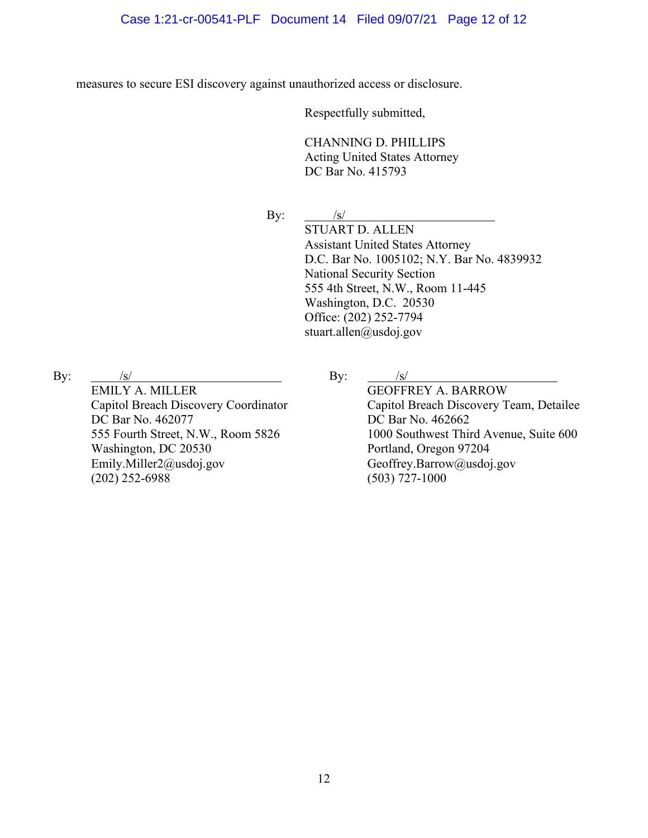measures to secure ESI discovery against unauthorized access or disclosure.

Respectfully submitted,

CHANNING D. PHILLIPS Acting United States Attorney DC Bar No. 415793

By:  $\frac{|s|}{\sqrt{|s|}}$ 

STUART D. ALLEN Assistant United States Attorney D.C. Bar No. 1005102; N.Y. Bar No. 4839932 National Security Section 555 4th Street, N.W., Room 11-445 Washington, D.C. 20530 Office: (202) 252-7794 stuart.allen@usdoj.gov

By:  $/s/$ 

EMILY A. MILLER Capitol Breach Discovery Coordinator DC Bar No. 462077 555 Fourth Street, N.W., Room 5826 Washington, DC 20530 Emily.Miller2@usdoj.gov (202) 252-6988

By:  $/s/$ 

GEOFFREY A. BARROW Capitol Breach Discovery Team, Detailee DC Bar No. 462662 1000 Southwest Third Avenue, Suite 600 Portland, Oregon 97204 Geoffrey.Barrow@usdoj.gov (503) 727-1000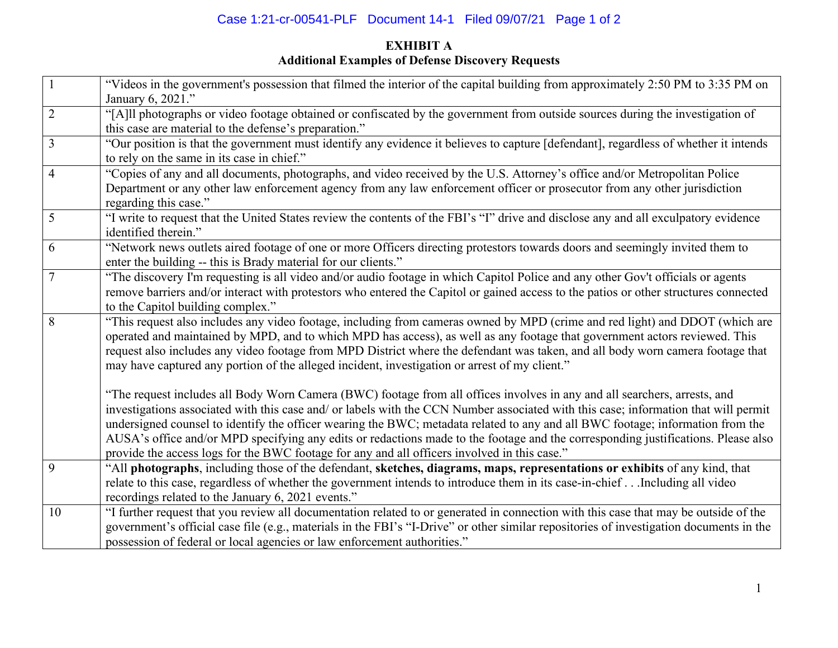# Case 1:21-cr-00541-PLF Document 14-1 Filed 09/07/21 Page 1 of 2

# **EXHIBIT A Additional Examples of Defense Discovery Requests**

|                | "Videos in the government's possession that filmed the interior of the capital building from approximately 2:50 PM to 3:35 PM on<br>January 6, 2021." |
|----------------|-------------------------------------------------------------------------------------------------------------------------------------------------------|
| $\overline{2}$ | "[A]ll photographs or video footage obtained or confiscated by the government from outside sources during the investigation of                        |
|                |                                                                                                                                                       |
|                | this case are material to the defense's preparation."                                                                                                 |
| 3              | "Our position is that the government must identify any evidence it believes to capture [defendant], regardless of whether it intends                  |
|                | to rely on the same in its case in chief."                                                                                                            |
| $\overline{4}$ | "Copies of any and all documents, photographs, and video received by the U.S. Attorney's office and/or Metropolitan Police                            |
|                | Department or any other law enforcement agency from any law enforcement officer or prosecutor from any other jurisdiction                             |
|                | regarding this case."                                                                                                                                 |
| 5              | "I write to request that the United States review the contents of the FBI's "I" drive and disclose any and all exculpatory evidence                   |
|                | identified therein."                                                                                                                                  |
| 6              | "Network news outlets aired footage of one or more Officers directing protestors towards doors and seemingly invited them to                          |
|                | enter the building -- this is Brady material for our clients."                                                                                        |
| $\overline{7}$ | "The discovery I'm requesting is all video and/or audio footage in which Capitol Police and any other Gov't officials or agents                       |
|                | remove barriers and/or interact with protestors who entered the Capitol or gained access to the patios or other structures connected                  |
|                | to the Capitol building complex."                                                                                                                     |
| 8              | "This request also includes any video footage, including from cameras owned by MPD (crime and red light) and DDOT (which are                          |
|                | operated and maintained by MPD, and to which MPD has access), as well as any footage that government actors reviewed. This                            |
|                |                                                                                                                                                       |
|                | request also includes any video footage from MPD District where the defendant was taken, and all body worn camera footage that                        |
|                | may have captured any portion of the alleged incident, investigation or arrest of my client."                                                         |
|                |                                                                                                                                                       |
|                | "The request includes all Body Worn Camera (BWC) footage from all offices involves in any and all searchers, arrests, and                             |
|                | investigations associated with this case and/ or labels with the CCN Number associated with this case; information that will permit                   |
|                | undersigned counsel to identify the officer wearing the BWC; metadata related to any and all BWC footage; information from the                        |
|                | AUSA's office and/or MPD specifying any edits or redactions made to the footage and the corresponding justifications. Please also                     |
|                | provide the access logs for the BWC footage for any and all officers involved in this case."                                                          |
| 9              | "All photographs, including those of the defendant, sketches, diagrams, maps, representations or exhibits of any kind, that                           |
|                | relate to this case, regardless of whether the government intends to introduce them in its case-in-chiefIncluding all video                           |
|                | recordings related to the January 6, 2021 events."                                                                                                    |
| 10             | "I further request that you review all documentation related to or generated in connection with this case that may be outside of the                  |
|                | government's official case file (e.g., materials in the FBI's "I-Drive" or other similar repositories of investigation documents in the               |
|                | possession of federal or local agencies or law enforcement authorities."                                                                              |